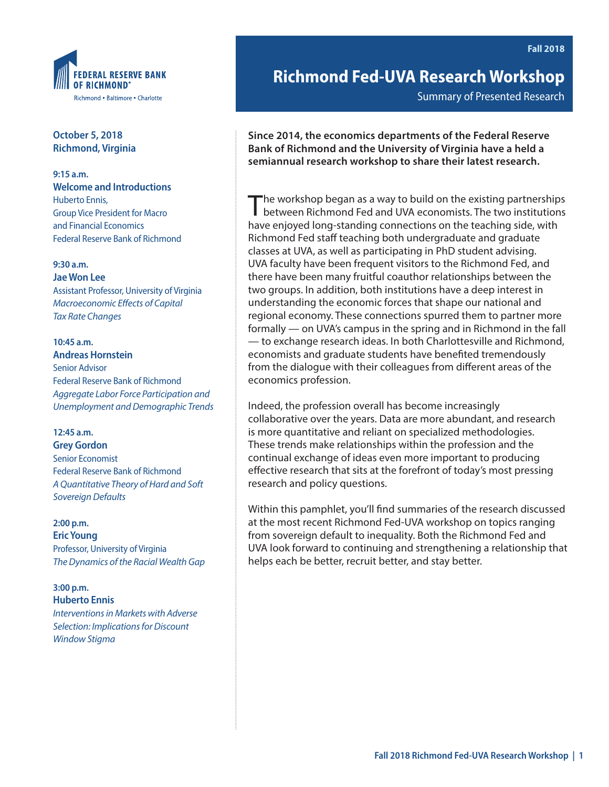

**October 5, 2018 Richmond, Virginia** 

**9:15 a.m. Welcome and Introductions** Huberto Ennis, Group Vice President for Macro and Financial Economics Federal Reserve Bank of Richmond

#### **9:30 a.m.**

**Jae Won Lee** Assistant Professor, University of Virginia *Macroeconomic Effects of Capital Tax Rate Changes*

#### **10:45 a.m. Andreas Hornstein**

Senior Advisor Federal Reserve Bank of Richmond *Aggregate Labor Force Participation and Unemployment and Demographic Trends*

## **12:45 a.m.**

**Grey Gordon** Senior Economist Federal Reserve Bank of Richmond *A Quantitative Theory of Hard and Soft Sovereign Defaults*

#### **2:00 p.m.**

**Eric Young** Professor, University of Virginia *The Dynamics of the Racial Wealth Gap*

#### **3:00 p.m. Huberto Ennis**

*Interventions in Markets with Adverse Selection: Implications for Discount Window Stigma*

**Richmond Fed-UVA Research Workshop**

Summary of Presented Research

**Since 2014, the economics departments of the Federal Reserve Bank of Richmond and the University of Virginia have a held a semiannual research workshop to share their latest research.**

The workshop began as a way to build on the existing partnerships between Richmond Fed and UVA economists. The two institutions have enjoyed long-standing connections on the teaching side, with Richmond Fed staff teaching both undergraduate and graduate classes at UVA, as well as participating in PhD student advising. UVA faculty have been frequent visitors to the Richmond Fed, and there have been many fruitful coauthor relationships between the two groups. In addition, both institutions have a deep interest in understanding the economic forces that shape our national and regional economy. These connections spurred them to partner more formally — on UVA's campus in the spring and in Richmond in the fall — to exchange research ideas. In both Charlottesville and Richmond, economists and graduate students have benefited tremendously from the dialogue with their colleagues from different areas of the economics profession.

Indeed, the profession overall has become increasingly collaborative over the years. Data are more abundant, and research is more quantitative and reliant on specialized methodologies. These trends make relationships within the profession and the continual exchange of ideas even more important to producing effective research that sits at the forefront of today's most pressing research and policy questions.

Within this pamphlet, you'll find summaries of the research discussed at the most recent Richmond Fed-UVA workshop on topics ranging from sovereign default to inequality. Both the Richmond Fed and UVA look forward to continuing and strengthening a relationship that helps each be better, recruit better, and stay better.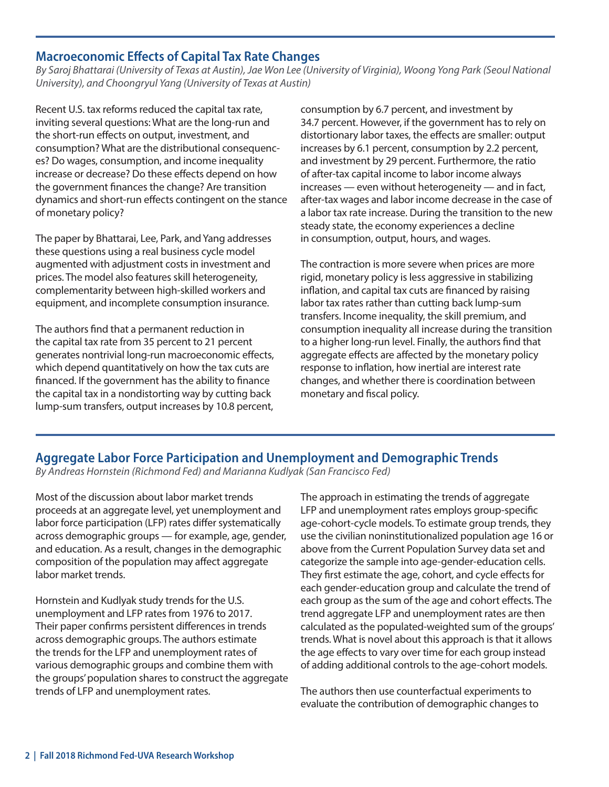## **Macroeconomic Effects of Capital Tax Rate Changes**

*By Saroj Bhattarai (University of Texas at Austin), Jae Won Lee (University of Virginia), Woong Yong Park (Seoul National University), and Choongryul Yang (University of Texas at Austin)*

Recent U.S. tax reforms reduced the capital tax rate, inviting several questions: What are the long-run and the short-run effects on output, investment, and consumption? What are the distributional consequences? Do wages, consumption, and income inequality increase or decrease? Do these effects depend on how the government finances the change? Are transition dynamics and short-run effects contingent on the stance of monetary policy?

The paper by Bhattarai, Lee, Park, and Yang addresses these questions using a real business cycle model augmented with adjustment costs in investment and prices. The model also features skill heterogeneity, complementarity between high-skilled workers and equipment, and incomplete consumption insurance.

The authors find that a permanent reduction in the capital tax rate from 35 percent to 21 percent generates nontrivial long-run macroeconomic effects, which depend quantitatively on how the tax cuts are financed. If the government has the ability to finance the capital tax in a nondistorting way by cutting back lump-sum transfers, output increases by 10.8 percent,

consumption by 6.7 percent, and investment by 34.7 percent. However, if the government has to rely on distortionary labor taxes, the effects are smaller: output increases by 6.1 percent, consumption by 2.2 percent, and investment by 29 percent. Furthermore, the ratio of after-tax capital income to labor income always increases — even without heterogeneity — and in fact, after-tax wages and labor income decrease in the case of a labor tax rate increase. During the transition to the new steady state, the economy experiences a decline in consumption, output, hours, and wages.

The contraction is more severe when prices are more rigid, monetary policy is less aggressive in stabilizing inflation, and capital tax cuts are financed by raising labor tax rates rather than cutting back lump-sum transfers. Income inequality, the skill premium, and consumption inequality all increase during the transition to a higher long-run level. Finally, the authors find that aggregate effects are affected by the monetary policy response to inflation, how inertial are interest rate changes, and whether there is coordination between monetary and fiscal policy.

## **Aggregate Labor Force Participation and Unemployment and Demographic Trends**

*By Andreas Hornstein (Richmond Fed) and Marianna Kudlyak (San Francisco Fed)*

Most of the discussion about labor market trends proceeds at an aggregate level, yet unemployment and labor force participation (LFP) rates differ systematically across demographic groups — for example, age, gender, and education. As a result, changes in the demographic composition of the population may affect aggregate labor market trends.

Hornstein and Kudlyak study trends for the U.S. unemployment and LFP rates from 1976 to 2017. Their paper confirms persistent differences in trends across demographic groups. The authors estimate the trends for the LFP and unemployment rates of various demographic groups and combine them with the groups' population shares to construct the aggregate trends of LFP and unemployment rates.

The approach in estimating the trends of aggregate LFP and unemployment rates employs group-specific age-cohort-cycle models. To estimate group trends, they use the civilian noninstitutionalized population age 16 or above from the Current Population Survey data set and categorize the sample into age-gender-education cells. They first estimate the age, cohort, and cycle effects for each gender-education group and calculate the trend of each group as the sum of the age and cohort effects. The trend aggregate LFP and unemployment rates are then calculated as the populated-weighted sum of the groups' trends. What is novel about this approach is that it allows the age effects to vary over time for each group instead of adding additional controls to the age-cohort models.

The authors then use counterfactual experiments to evaluate the contribution of demographic changes to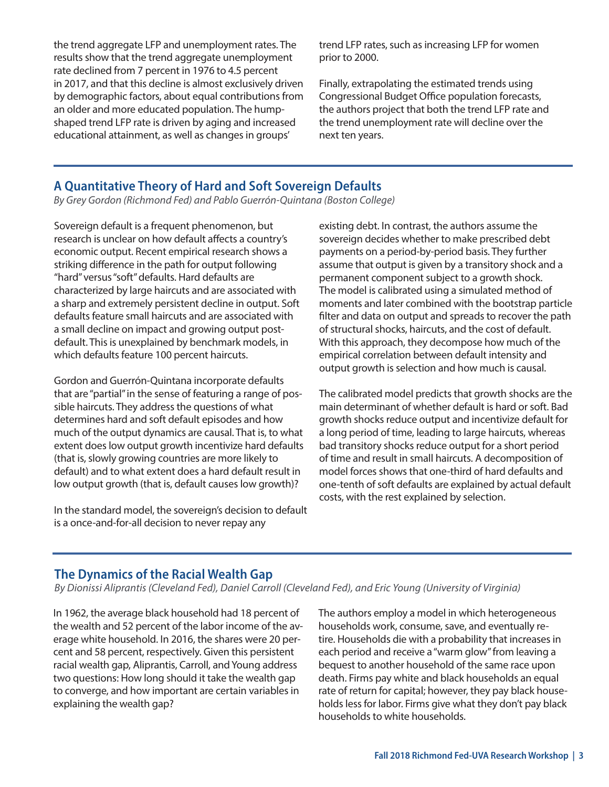the trend aggregate LFP and unemployment rates. The results show that the trend aggregate unemployment rate declined from 7 percent in 1976 to 4.5 percent in 2017, and that this decline is almost exclusively driven by demographic factors, about equal contributions from an older and more educated population. The humpshaped trend LFP rate is driven by aging and increased educational attainment, as well as changes in groups'

trend LFP rates, such as increasing LFP for women prior to 2000.

Finally, extrapolating the estimated trends using Congressional Budget Office population forecasts, the authors project that both the trend LFP rate and the trend unemployment rate will decline over the next ten years.

# **A Quantitative Theory of Hard and Soft Sovereign Defaults**

*By Grey Gordon (Richmond Fed) and Pablo Guerrón-Quintana (Boston College)*

Sovereign default is a frequent phenomenon, but research is unclear on how default affects a country's economic output. Recent empirical research shows a striking difference in the path for output following "hard" versus "soft" defaults. Hard defaults are characterized by large haircuts and are associated with a sharp and extremely persistent decline in output. Soft defaults feature small haircuts and are associated with a small decline on impact and growing output postdefault. This is unexplained by benchmark models, in which defaults feature 100 percent haircuts.

Gordon and Guerrón-Quintana incorporate defaults that are "partial" in the sense of featuring a range of possible haircuts. They address the questions of what determines hard and soft default episodes and how much of the output dynamics are causal. That is, to what extent does low output growth incentivize hard defaults (that is, slowly growing countries are more likely to default) and to what extent does a hard default result in low output growth (that is, default causes low growth)?

In the standard model, the sovereign's decision to default is a once-and-for-all decision to never repay any

existing debt. In contrast, the authors assume the sovereign decides whether to make prescribed debt payments on a period-by-period basis. They further assume that output is given by a transitory shock and a permanent component subject to a growth shock. The model is calibrated using a simulated method of moments and later combined with the bootstrap particle filter and data on output and spreads to recover the path of structural shocks, haircuts, and the cost of default. With this approach, they decompose how much of the empirical correlation between default intensity and output growth is selection and how much is causal.

The calibrated model predicts that growth shocks are the main determinant of whether default is hard or soft. Bad growth shocks reduce output and incentivize default for a long period of time, leading to large haircuts, whereas bad transitory shocks reduce output for a short period of time and result in small haircuts. A decomposition of model forces shows that one-third of hard defaults and one-tenth of soft defaults are explained by actual default costs, with the rest explained by selection.

#### **The Dynamics of the Racial Wealth Gap**

*By Dionissi Aliprantis (Cleveland Fed), Daniel Carroll (Cleveland Fed), and Eric Young (University of Virginia)*

In 1962, the average black household had 18 percent of the wealth and 52 percent of the labor income of the average white household. In 2016, the shares were 20 percent and 58 percent, respectively. Given this persistent racial wealth gap, Aliprantis, Carroll, and Young address two questions: How long should it take the wealth gap to converge, and how important are certain variables in explaining the wealth gap?

The authors employ a model in which heterogeneous households work, consume, save, and eventually retire. Households die with a probability that increases in each period and receive a "warm glow" from leaving a bequest to another household of the same race upon death. Firms pay white and black households an equal rate of return for capital; however, they pay black households less for labor. Firms give what they don't pay black households to white households.